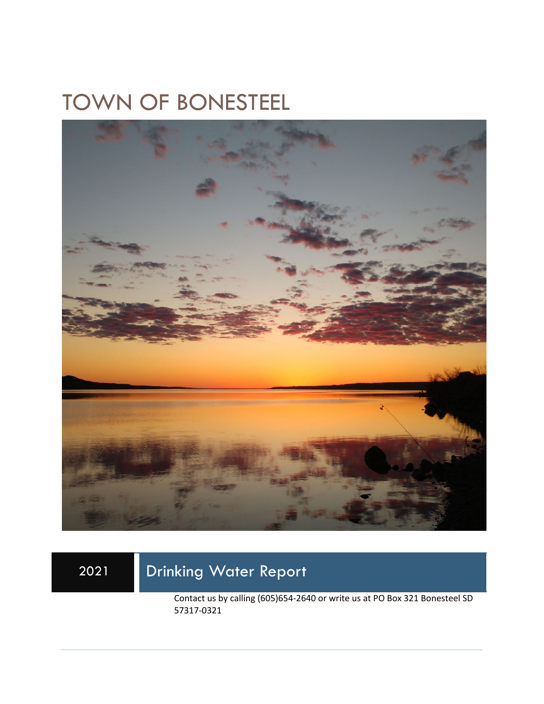# TOWN OF BONESTEEL



## 2021 Drinking Water Report

Contact us by calling (605)654-2640 or write us at PO Box 321 Bonesteel SD 57317-0321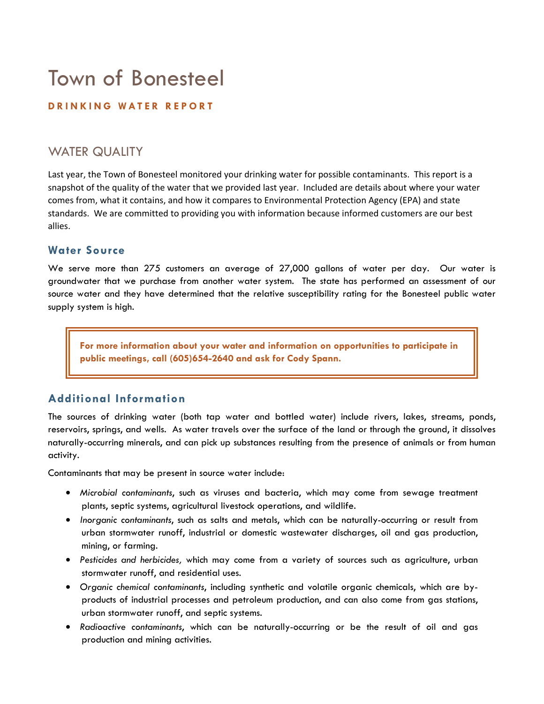## Town of Bonesteel

#### **DRINKING WATER REPORT**

### WATER QUALITY

Last year, the Town of Bonesteel monitored your drinking water for possible contaminants. This report is a snapshot of the quality of the water that we provided last year. Included are details about where your water comes from, what it contains, and how it compares to Environmental Protection Agency (EPA) and state standards. We are committed to providing you with information because informed customers are our best allies.

#### **Water Source**

We serve more than 275 customers an average of 27,000 gallons of water per day. Our water is groundwater that we purchase from another water system. The state has performed an assessment of our source water and they have determined that the relative susceptibility rating for the Bonesteel public water supply system is high.

**For more information about your water and information on opportunities to participate in public meetings, call (605)654-2640 and ask for Cody Spann.** 

#### **Additional Information**

The sources of drinking water (both tap water and bottled water) include rivers, lakes, streams, ponds, reservoirs, springs, and wells. As water travels over the surface of the land or through the ground, it dissolves naturally-occurring minerals, and can pick up substances resulting from the presence of animals or from human activity.

Contaminants that may be present in source water include:

- *Microbial contaminants*, such as viruses and bacteria, which may come from sewage treatment plants, septic systems, agricultural livestock operations, and wildlife.
- *Inorganic contaminants*, such as salts and metals, which can be naturally-occurring or result from urban stormwater runoff, industrial or domestic wastewater discharges, oil and gas production, mining, or farming.
- *Pesticides and herbicides,* which may come from a variety of sources such as agriculture, urban stormwater runoff, and residential uses.
- *Organic chemical contaminants*, including synthetic and volatile organic chemicals, which are byproducts of industrial processes and petroleum production, and can also come from gas stations, urban stormwater runoff, and septic systems.
- *Radioactive contaminants*, which can be naturally-occurring or be the result of oil and gas production and mining activities.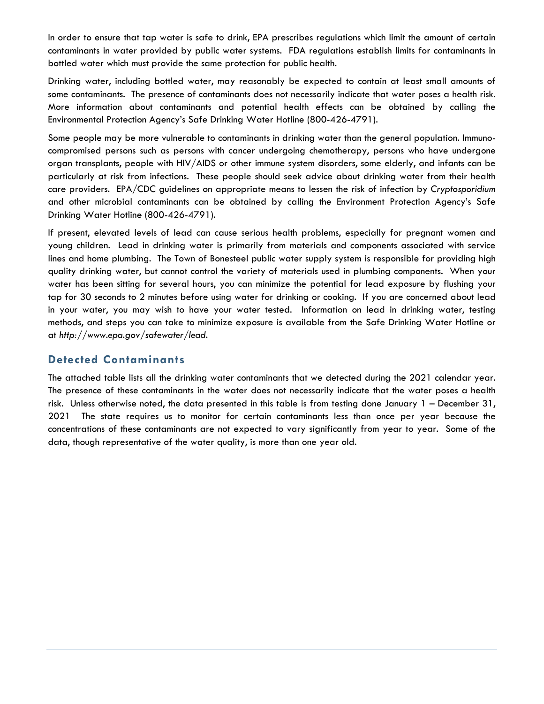In order to ensure that tap water is safe to drink, EPA prescribes regulations which limit the amount of certain contaminants in water provided by public water systems. FDA regulations establish limits for contaminants in bottled water which must provide the same protection for public health.

Drinking water, including bottled water, may reasonably be expected to contain at least small amounts of some contaminants. The presence of contaminants does not necessarily indicate that water poses a health risk. More information about contaminants and potential health effects can be obtained by calling the Environmental Protection Agency's Safe Drinking Water Hotline (800-426-4791).

Some people may be more vulnerable to contaminants in drinking water than the general population. Immunocompromised persons such as persons with cancer undergoing chemotherapy, persons who have undergone organ transplants, people with HIV/AIDS or other immune system disorders, some elderly, and infants can be particularly at risk from infections. These people should seek advice about drinking water from their health care providers. EPA/CDC guidelines on appropriate means to lessen the risk of infection by *Cryptosporidium* and other microbial contaminants can be obtained by calling the Environment Protection Agency's Safe Drinking Water Hotline (800-426-4791).

If present, elevated levels of lead can cause serious health problems, especially for pregnant women and young children. Lead in drinking water is primarily from materials and components associated with service lines and home plumbing. The Town of Bonesteel public water supply system is responsible for providing high quality drinking water, but cannot control the variety of materials used in plumbing components. When your water has been sitting for several hours, you can minimize the potential for lead exposure by flushing your tap for 30 seconds to 2 minutes before using water for drinking or cooking. If you are concerned about lead in your water, you may wish to have your water tested. Information on lead in drinking water, testing methods, and steps you can take to minimize exposure is available from the Safe Drinking Water Hotline or at *http://www.epa.gov/safewater/lead*.

#### **Detected Contaminants**

The attached table lists all the drinking water contaminants that we detected during the 2021 calendar year. The presence of these contaminants in the water does not necessarily indicate that the water poses a health risk. Unless otherwise noted, the data presented in this table is from testing done January 1 – December 31, 2021 The state requires us to monitor for certain contaminants less than once per year because the concentrations of these contaminants are not expected to vary significantly from year to year. Some of the data, though representative of the water quality, is more than one year old.